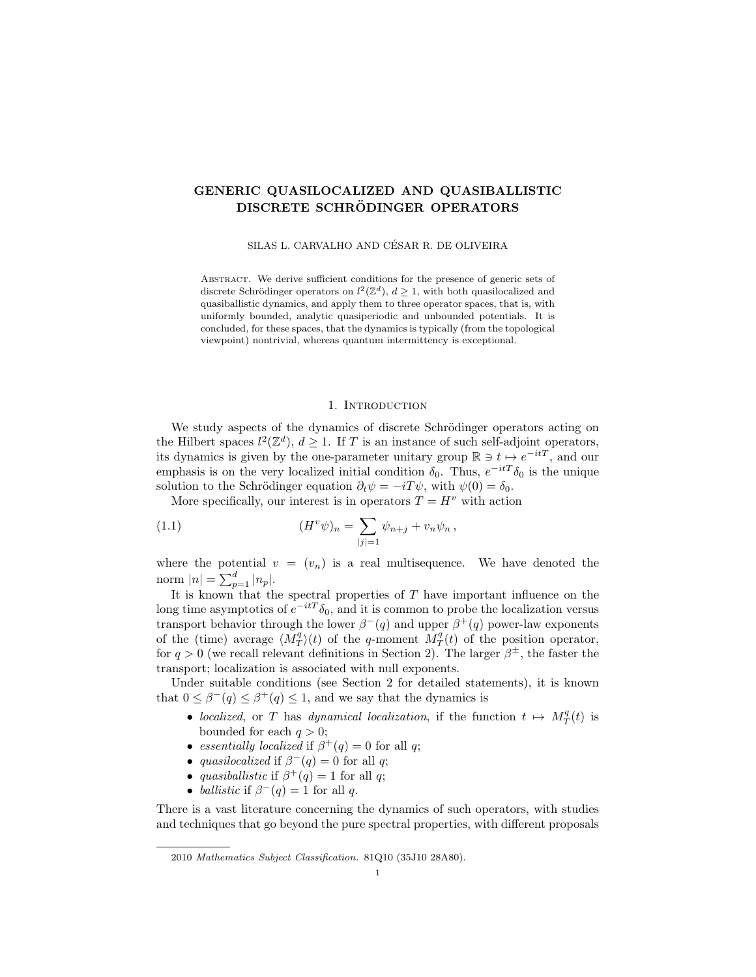# GENERIC QUASILOCALIZED AND QUASIBALLISTIC DISCRETE SCHRÖDINGER OPERATORS

SILAS L. CARVALHO AND CÉSAR R. DE OLIVEIRA

Abstract. We derive sufficient conditions for the presence of generic sets of discrete Schrödinger operators on  $l^2(\mathbb{Z}^d)$ ,  $d \geq 1$ , with both quasilocalized and quasiballistic dynamics, and apply them to three operator spaces, that is, with uniformly bounded, analytic quasiperiodic and unbounded potentials. It is concluded, for these spaces, that the dynamics is typically (from the topological viewpoint) nontrivial, whereas quantum intermittency is exceptional.

## 1. INTRODUCTION

We study aspects of the dynamics of discrete Schrödinger operators acting on the Hilbert spaces  $l^2(\mathbb{Z}^d)$ ,  $d \geq 1$ . If T is an instance of such self-adjoint operators, its dynamics is given by the one-parameter unitary group  $\mathbb{R} \ni t \mapsto e^{-itT}$ , and our emphasis is on the very localized initial condition  $\delta_0$ . Thus,  $e^{-itT}\delta_0$  is the unique solution to the Schrödinger equation  $\partial_t \psi = -i T \psi$ , with  $\psi(0) = \delta_0$ .

More specifically, our interest is in operators  $T = H<sup>v</sup>$  with action

(1.1) 
$$
(H^v \psi)_n = \sum_{|j|=1} \psi_{n+j} + v_n \psi_n ,
$$

where the potential  $v = (v_n)$  is a real multisequence. We have denoted the norm  $|n| = \sum_{p=1}^{d} |n_p|$ .

It is known that the spectral properties of  $T$  have important influence on the long time asymptotics of  $e^{-itT}\delta_0$ , and it is common to probe the localization versus transport behavior through the lower  $\beta^{-}(q)$  and upper  $\beta^{+}(q)$  power-law exponents of the (time) average  $\langle M_T^q \rangle(t)$  of the q-moment  $M_T^q(t)$  of the position operator, for  $q > 0$  (we recall relevant definitions in Section 2). The larger  $\beta^{\pm}$ , the faster the transport; localization is associated with null exponents.

Under suitable conditions (see Section 2 for detailed statements), it is known that  $0 \leq \beta^{-}(q) \leq \beta^{+}(q) \leq 1$ , and we say that the dynamics is

- localized, or T has dynamical localization, if the function  $t \mapsto M_T^q(t)$  is bounded for each  $q > 0$ ;
- essentially localized if  $\beta^+(q) = 0$  for all q;
- quasilocalized if  $\beta^{-}(q) = 0$  for all q;
- quasiballistic if  $\beta^+(q) = 1$  for all q;
- ballistic if  $\beta^{-}(q) = 1$  for all q.

There is a vast literature concerning the dynamics of such operators, with studies and techniques that go beyond the pure spectral properties, with different proposals

<sup>2010</sup> Mathematics Subject Classification. 81Q10 (35J10 28A80).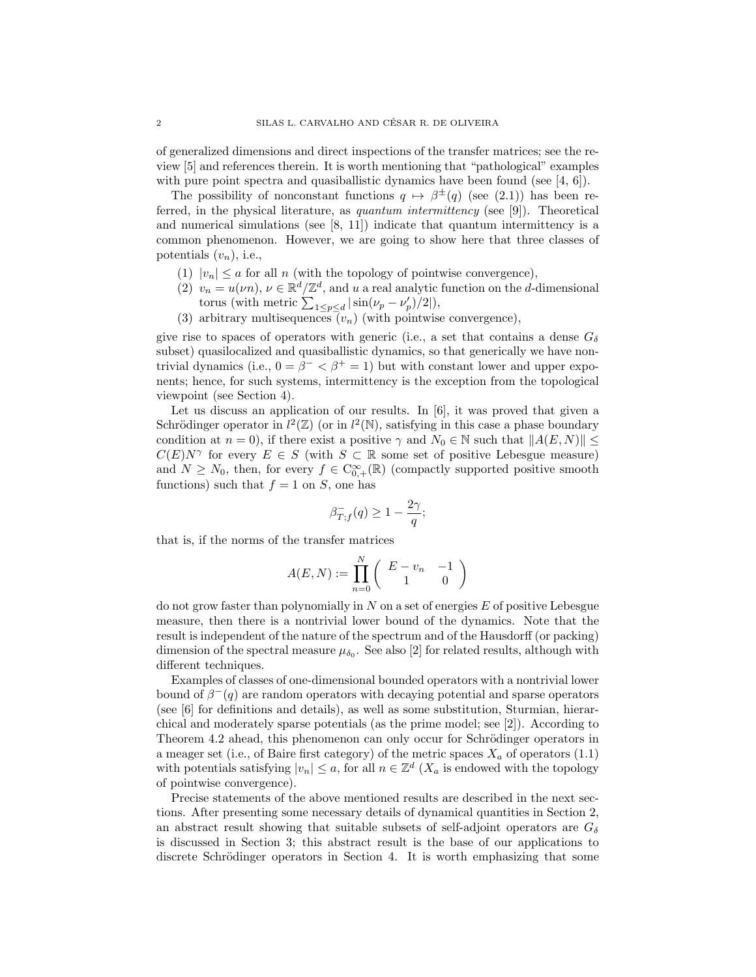of generalized dimensions and direct inspections of the transfer matrices; see the review [5] and references therein. It is worth mentioning that "pathological" examples with pure point spectra and quasiballistic dynamics have been found (see  $[4, 6]$ ).

The possibility of nonconstant functions  $q \mapsto \beta^{\pm}(q)$  (see (2.1)) has been referred, in the physical literature, as quantum intermittency (see [9]). Theoretical and numerical simulations (see [8, 11]) indicate that quantum intermittency is a common phenomenon. However, we are going to show here that three classes of potentials  $(v_n)$ , i.e.,

- (1)  $|v_n| \le a$  for all n (with the topology of pointwise convergence),
- (2)  $v_n = u(\nu n)$ ,  $\nu \in \mathbb{R}^d/\mathbb{Z}^d$ , and u a real analytic function on the d-dimensional torus (with metric  $\sum_{1 \leq p \leq d} |\sin(\nu_p - \nu'_p)/2|$ ),
- (3) arbitrary multisequences  $(v_n)$  (with pointwise convergence),

give rise to spaces of operators with generic (i.e., a set that contains a dense  $G_{\delta}$ subset) quasilocalized and quasiballistic dynamics, so that generically we have nontrivial dynamics (i.e.,  $0 = \beta^{-} < \beta^{+} = 1$ ) but with constant lower and upper exponents; hence, for such systems, intermittency is the exception from the topological viewpoint (see Section 4).

Let us discuss an application of our results. In [6], it was proved that given a Schrödinger operator in  $l^2(\mathbb{Z})$  (or in  $l^2(\mathbb{N})$ , satisfying in this case a phase boundary condition at  $n = 0$ , if there exist a positive  $\gamma$  and  $N_0 \in \mathbb{N}$  such that  $||A(E, N)|| \le$  $C(E)N^{\gamma}$  for every  $E \in S$  (with  $S \subset \mathbb{R}$  some set of positive Lebesgue measure) and  $N \geq N_0$ , then, for every  $f \in C_{0,+}^{\infty}(\mathbb{R})$  (compactly supported positive smooth functions) such that  $f = 1$  on S, one has

$$
\beta^-_{T,f}(q) \ge 1 - \frac{2\gamma}{q};
$$

that is, if the norms of the transfer matrices

$$
A(E, N) := \prod_{n=0}^{N} \left( \begin{array}{cc} E - v_n & -1 \\ 1 & 0 \end{array} \right)
$$

do not grow faster than polynomially in  $N$  on a set of energies  $E$  of positive Lebesgue measure, then there is a nontrivial lower bound of the dynamics. Note that the result is independent of the nature of the spectrum and of the Hausdorff (or packing) dimension of the spectral measure  $\mu_{\delta_0}$ . See also [2] for related results, although with different techniques.

Examples of classes of one-dimensional bounded operators with a nontrivial lower bound of  $\beta^{-}(q)$  are random operators with decaying potential and sparse operators (see [6] for definitions and details), as well as some substitution, Sturmian, hierarchical and moderately sparse potentials (as the prime model; see [2]). According to Theorem 4.2 ahead, this phenomenon can only occur for Schrödinger operators in a meager set (i.e., of Baire first category) of the metric spaces  $X_a$  of operators (1.1) with potentials satisfying  $|v_n| \leq a$ , for all  $n \in \mathbb{Z}^d$  ( $X_a$  is endowed with the topology of pointwise convergence).

Precise statements of the above mentioned results are described in the next sections. After presenting some necessary details of dynamical quantities in Section 2, an abstract result showing that suitable subsets of self-adjoint operators are  $G_{\delta}$ is discussed in Section 3; this abstract result is the base of our applications to discrete Schrödinger operators in Section 4. It is worth emphasizing that some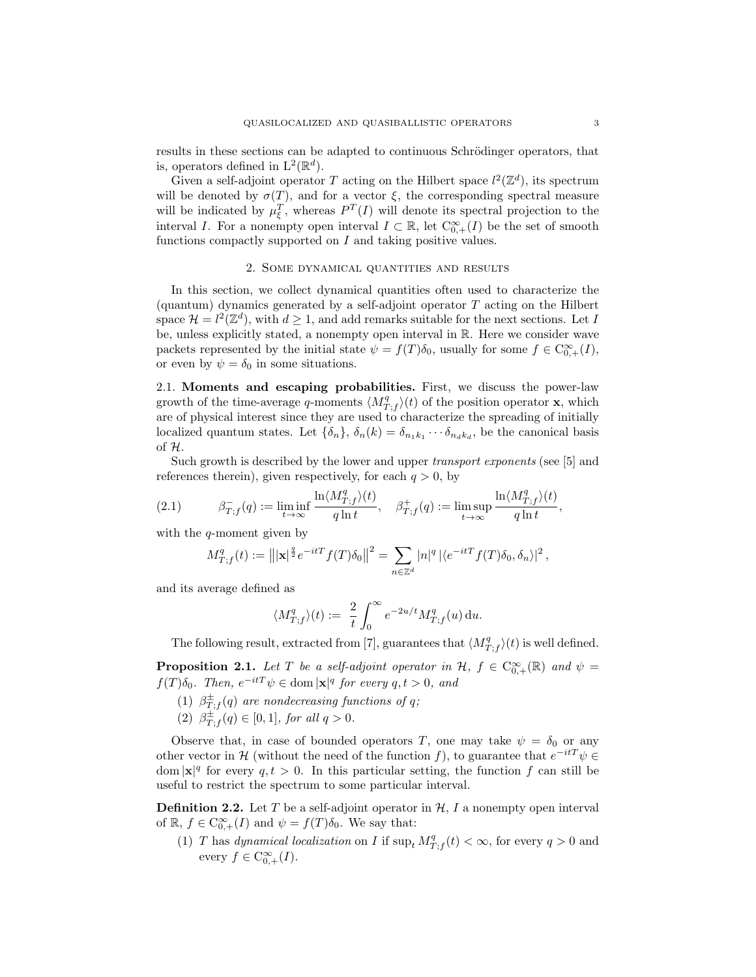results in these sections can be adapted to continuous Schrödinger operators, that is, operators defined in  $L^2(\mathbb{R}^d)$ .

Given a self-adjoint operator T acting on the Hilbert space  $l^2(\mathbb{Z}^d)$ , its spectrum will be denoted by  $\sigma(T)$ , and for a vector  $\xi$ , the corresponding spectral measure will be indicated by  $\mu_{\xi}^{T}$ , whereas  $P^{T}(I)$  will denote its spectral projection to the interval I. For a nonempty open interval  $I \subset \mathbb{R}$ , let  $C^{\infty}_{0,+}(I)$  be the set of smooth functions compactly supported on  $I$  and taking positive values.

## 2. Some dynamical quantities and results

In this section, we collect dynamical quantities often used to characterize the (quantum) dynamics generated by a self-adjoint operator  $T$  acting on the Hilbert space  $\mathcal{H} = l^2(\mathbb{Z}^d)$ , with  $d \geq 1$ , and add remarks suitable for the next sections. Let I be, unless explicitly stated, a nonempty open interval in R. Here we consider wave packets represented by the initial state  $\psi = f(T)\delta_0$ , usually for some  $f \in C^{\infty}_{0,+}(I)$ , or even by  $\psi = \delta_0$  in some situations.

2.1. Moments and escaping probabilities. First, we discuss the power-law growth of the time-average q-moments  $\langle M_{T,f}^q \rangle(t)$  of the position operator **x**, which are of physical interest since they are used to characterize the spreading of initially localized quantum states. Let  $\{\delta_n\}$ ,  $\delta_n(k) = \delta_{n_1k_1} \cdots \delta_{n_dk_d}$ , be the canonical basis of H.

Such growth is described by the lower and upper *transport exponents* (see [5] and references therein), given respectively, for each  $q > 0$ , by

(2.1) 
$$
\beta_{T;f}^-(q) := \liminf_{t \to \infty} \frac{\ln \langle M_{T;f}^q \rangle(t)}{q \ln t}, \quad \beta_{T;f}^+(q) := \limsup_{t \to \infty} \frac{\ln \langle M_{T;f}^q \rangle(t)}{q \ln t},
$$

with the q-moment given by

$$
M_{T;f}^q(t) := \left\| |\mathbf{x}|^{\frac{q}{2}} e^{-itT} f(T) \delta_0 \right\|^2 = \sum_{n \in \mathbb{Z}^d} |n|^q \left| \langle e^{-itT} f(T) \delta_0, \delta_n \rangle \right|^2,
$$

and its average defined as

$$
\langle M_{T,f}^q \rangle (t) := \frac{2}{t} \int_0^\infty e^{-2u/t} M_{T,f}^q(u) \, \mathrm{d}u.
$$

The following result, extracted from [7], guarantees that  $\langle M_{T,f}^q \rangle(t)$  is well defined.

**Proposition 2.1.** Let T be a self-adjoint operator in H,  $f \in C_{0,+}^{\infty}(\mathbb{R})$  and  $\psi =$  $f(T)\delta_0$ . Then,  $e^{-itT}\psi \in \text{dom} |\mathbf{x}|^q$  for every  $q, t > 0$ , and

- (1)  $\beta_{T,f}^{\pm}(q)$  are nondecreasing functions of q;
- (2)  $\beta_{T,f}^{\pm}(q) \in [0,1]$ , for all  $q > 0$ .

Observe that, in case of bounded operators T, one may take  $\psi = \delta_0$  or any other vector in H (without the need of the function f), to guarantee that  $e^{-itT}\psi \in$ dom  $|\mathbf{x}|^q$  for every  $q, t > 0$ . In this particular setting, the function f can still be useful to restrict the spectrum to some particular interval.

**Definition 2.2.** Let T be a self-adjoint operator in  $\mathcal{H}$ , I a nonempty open interval of  $\mathbb{R}, f \in C^{\infty}_{0,+}(I)$  and  $\psi = f(T)\delta_0$ . We say that:

(1) T has dynamical localization on I if  $\sup_t M_{T,f}^q(t) < \infty$ , for every  $q > 0$  and every  $f \in C_{0,+}^{\infty}(I)$ .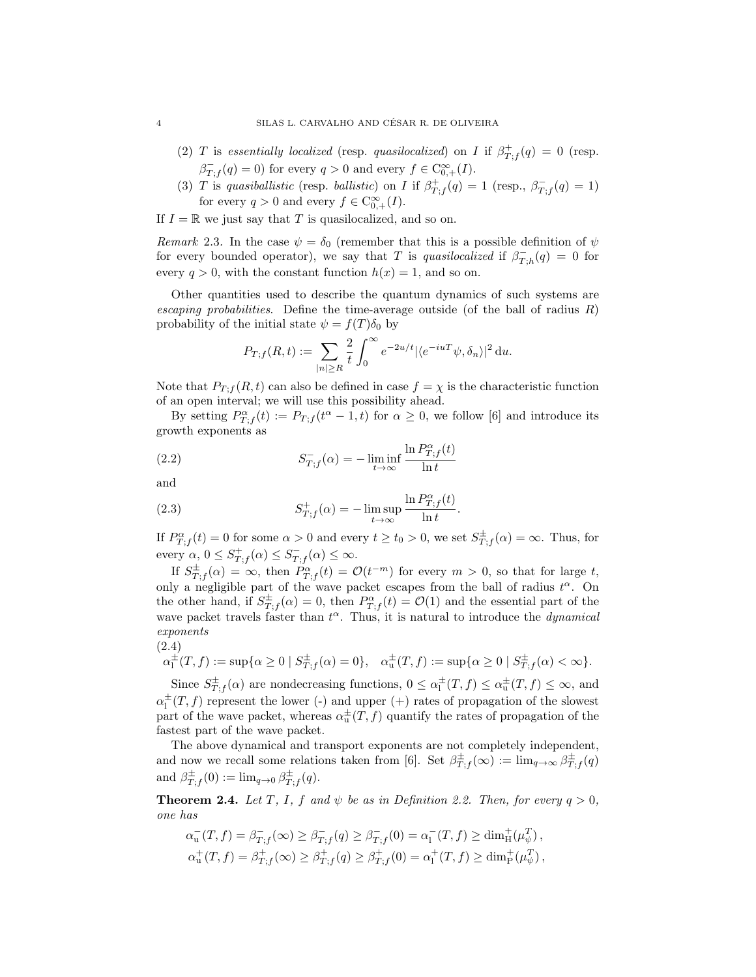- (2) T is essentially localized (resp. quasilocalized) on I if  $\beta^+_{T,f}(q) = 0$  (resp.  $\beta^-_{T,f}(q) = 0$ ) for every  $q > 0$  and every  $f \in C^{\infty}_{0,+}(I)$ .
- (3) T is quasiballistic (resp. ballistic) on I if  $\beta_{T,f}^+(q) = 1$  (resp.,  $\beta_{T,f}^-(q) = 1$ ) for every  $q > 0$  and every  $f \in C_{0,+}^{\infty}(I)$ .

If  $I = \mathbb{R}$  we just say that T is quasilocalized, and so on.

Remark 2.3. In the case  $\psi = \delta_0$  (remember that this is a possible definition of  $\psi$ for every bounded operator), we say that T is quasilocalized if  $\beta_{T,h}^-(q) = 0$  for every  $q > 0$ , with the constant function  $h(x) = 1$ , and so on.

Other quantities used to describe the quantum dynamics of such systems are escaping probabilities. Define the time-average outside (of the ball of radius  $R$ ) probability of the initial state  $\psi = f(T)\delta_0$  by

$$
P_{T;f}(R,t) := \sum_{|n| \ge R} \frac{2}{t} \int_0^\infty e^{-2u/t} |\langle e^{-iuT} \psi, \delta_n \rangle|^2 du.
$$

Note that  $P_{T,f}(R,t)$  can also be defined in case  $f = \chi$  is the characteristic function of an open interval; we will use this possibility ahead.

By setting  $P_{T,f}^{\alpha}(t) := P_{T,f}(t^{\alpha} - 1, t)$  for  $\alpha \geq 0$ , we follow [6] and introduce its growth exponents as

(2.2) 
$$
S_{T,f}^{-}(\alpha) = -\liminf_{t \to \infty} \frac{\ln P_{T,f}^{\alpha}(t)}{\ln t}
$$

and

(2.3) 
$$
S_{T,f}^{+}(\alpha) = -\limsup_{t \to \infty} \frac{\ln P_{T,f}^{\alpha}(t)}{\ln t}.
$$

If  $P_{T,f}^{\alpha}(t) = 0$  for some  $\alpha > 0$  and every  $t \ge t_0 > 0$ , we set  $S_{T,f}^{\pm}(\alpha) = \infty$ . Thus, for every  $\alpha, 0 \leq S_{T,f}^+(\alpha) \leq S_{T,f}^-(\alpha) \leq \infty$ .

If  $S_{T,f}^{\pm}(\alpha) = \infty$ , then  $P_{T,f}^{\alpha}(t) = \mathcal{O}(t^{-m})$  for every  $m > 0$ , so that for large t, only a negligible part of the wave packet escapes from the ball of radius  $t^{\alpha}$ . On the other hand, if  $S_{T,f}^{\pm}(\alpha) = 0$ , then  $P_{T,f}^{\alpha}(t) = \mathcal{O}(1)$  and the essential part of the wave packet travels faster than  $t^{\alpha}$ . Thus, it is natural to introduce the *dynamical* exponents

$$
(2.4)
$$

$$
\alpha_1^{\pm}(T, f) := \sup \{ \alpha \ge 0 \mid S_{T, f}^{\pm}(\alpha) = 0 \}, \quad \alpha_u^{\pm}(T, f) := \sup \{ \alpha \ge 0 \mid S_{T, f}^{\pm}(\alpha) < \infty \}.
$$

Since  $S_{T,f}^{\pm}(\alpha)$  are nondecreasing functions,  $0 \leq \alpha_1^{\pm}(T,f) \leq \alpha_u^{\pm}(T,f) \leq \infty$ , and  $\alpha_1^{\pm}(T, f)$  represent the lower (-) and upper (+) rates of propagation of the slowest part of the wave packet, whereas  $\alpha_{\rm u}^{\pm}(T,f)$  quantify the rates of propagation of the fastest part of the wave packet.

The above dynamical and transport exponents are not completely independent, and now we recall some relations taken from [6]. Set  $\beta_{T,f}^{\pm}(\infty) := \lim_{q \to \infty} \beta_{T,f}^{\pm}(q)$ and  $\beta_{T,f}^{\pm}(0) := \lim_{q \to 0} \beta_{T,f}^{\pm}(q)$ .

**Theorem 2.4.** Let T, I, f and  $\psi$  be as in Definition 2.2. Then, for every  $q > 0$ , one has

$$
\alpha^-_{\mathbf{u}}(T, f) = \beta^-_{T;f}(\infty) \geq \beta^-_{T;f}(q) \geq \beta^-_{T;f}(0) = \alpha^-_{\mathbf{l}}(T, f) \geq \dim^+_{\mathbf{H}}(\mu^T_{\psi}),
$$
  

$$
\alpha^+_{\mathbf{u}}(T, f) = \beta^+_{T;f}(\infty) \geq \beta^+_{T;f}(q) \geq \beta^+_{T;f}(0) = \alpha^+_{\mathbf{l}}(T, f) \geq \dim^+_{\mathbf{P}}(\mu^T_{\psi}),
$$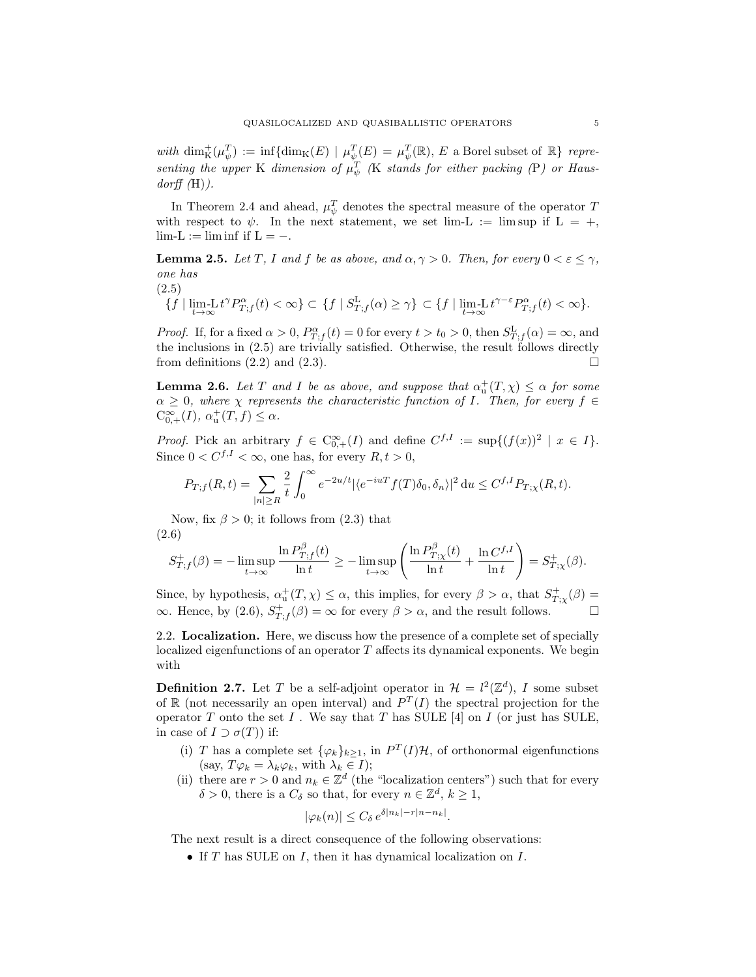with  $\dim_K^+(\mu_\psi^T) := \inf \{ \dim_K(E) \mid \mu_\psi^T(E) = \mu_\psi^T(\mathbb{R}), E$  a Borel subset of  $\mathbb{R}$  representing the upper K dimension of  $\mu_{\psi}^{T}$  (K stands for either packing (P) or Haus $dorff(H)$ ).

In Theorem 2.4 and ahead,  $\mu_{\psi}^{T}$  denotes the spectral measure of the operator T with respect to  $\psi$ . In the next statement, we set lim-L := lim sup if L = +,  $\lim_{L} L := \liminf_{L} \text{ if } L = -.$ 

**Lemma 2.5.** Let T, I and f be as above, and  $\alpha, \gamma > 0$ . Then, for every  $0 < \varepsilon < \gamma$ , one has

(2.5)

$$
\{f \mid \lim_{t \to \infty} L t^{\gamma} P_{T;f}^{\alpha}(t) < \infty \} \subset \{f \mid S_{T;f}^{L}(\alpha) \geq \gamma \} \subset \{f \mid \lim_{t \to \infty} L t^{\gamma - \varepsilon} P_{T;f}^{\alpha}(t) < \infty \}.
$$

*Proof.* If, for a fixed  $\alpha > 0$ ,  $P_{T,f}^{\alpha}(t) = 0$  for every  $t > t_0 > 0$ , then  $S_{T,f}^{\text{L}}(\alpha) = \infty$ , and the inclusions in (2.5) are trivially satisfied. Otherwise, the result follows directly from definitions (2.2) and (2.3).

**Lemma 2.6.** Let T and I be as above, and suppose that  $\alpha_u^+(T, \chi) \leq \alpha$  for some  $\alpha \geq 0$ , where  $\chi$  represents the characteristic function of I. Then, for every  $f \in$  $C_{0,+}^{\infty}(I), \ \alpha_{\mathrm{u}}^{+}(T,f) \leq \alpha.$ 

*Proof.* Pick an arbitrary  $f \in C_{0,+}^{\infty}(I)$  and define  $C^{f,I} := \sup\{(f(x))^2 \mid x \in I\}.$ Since  $0 < C^{f,I} < \infty$ , one has, for every  $R, t > 0$ ,

$$
P_{T;f}(R,t) = \sum_{|n| \ge R} \frac{2}{t} \int_0^\infty e^{-2u/t} |\langle e^{-iuT} f(T) \delta_0, \delta_n \rangle|^2 du \le C^{f, I} P_{T; \chi}(R, t).
$$

Now, fix  $\beta > 0$ ; it follows from (2.3) that (2.6)

$$
S_{T,f}^+(\beta)=-\limsup_{t\to\infty}\frac{\ln P_{T,f}^{\beta}(t)}{\ln t}\geq-\limsup_{t\to\infty}\left(\frac{\ln P_{T,\chi}^{\beta}(t)}{\ln t}+\frac{\ln C^{f,I}}{\ln t}\right)=S_{T,\chi}^+(\beta).
$$

Since, by hypothesis,  $\alpha_u^+(T, \chi) \leq \alpha$ , this implies, for every  $\beta > \alpha$ , that  $S^+_{T, \chi}(\beta) =$  $\infty$ . Hence, by (2.6),  $S^+_{T,f}(\beta) = \infty$  for every  $\beta > \alpha$ , and the result follows.

2.2. Localization. Here, we discuss how the presence of a complete set of specially localized eigenfunctions of an operator  $T$  affects its dynamical exponents. We begin with

**Definition 2.7.** Let T be a self-adjoint operator in  $\mathcal{H} = l^2(\mathbb{Z}^d)$ , I some subset of  $\mathbb R$  (not necessarily an open interval) and  $P^T(I)$  the spectral projection for the operator T onto the set I. We say that T has SULE [4] on I (or just has SULE, in case of  $I \supset \sigma(T)$  if:

- (i) T has a complete set  $\{\varphi_k\}_{k\geq 1}$ , in  $P^T(I)\mathcal{H}$ , of orthonormal eigenfunctions (say,  $T\varphi_k = \lambda_k \varphi_k$ , with  $\lambda_k \in I$ );
- (ii) there are  $r > 0$  and  $n_k \in \mathbb{Z}^d$  (the "localization centers") such that for every  $\delta > 0$ , there is a  $C_{\delta}$  so that, for every  $n \in \mathbb{Z}^d$ ,  $k \ge 1$ ,

$$
|\varphi_k(n)| \le C_\delta e^{\delta |n_k| - r|n - n_k|}.
$$

The next result is a direct consequence of the following observations:

• If  $T$  has SULE on  $I$ , then it has dynamical localization on  $I$ .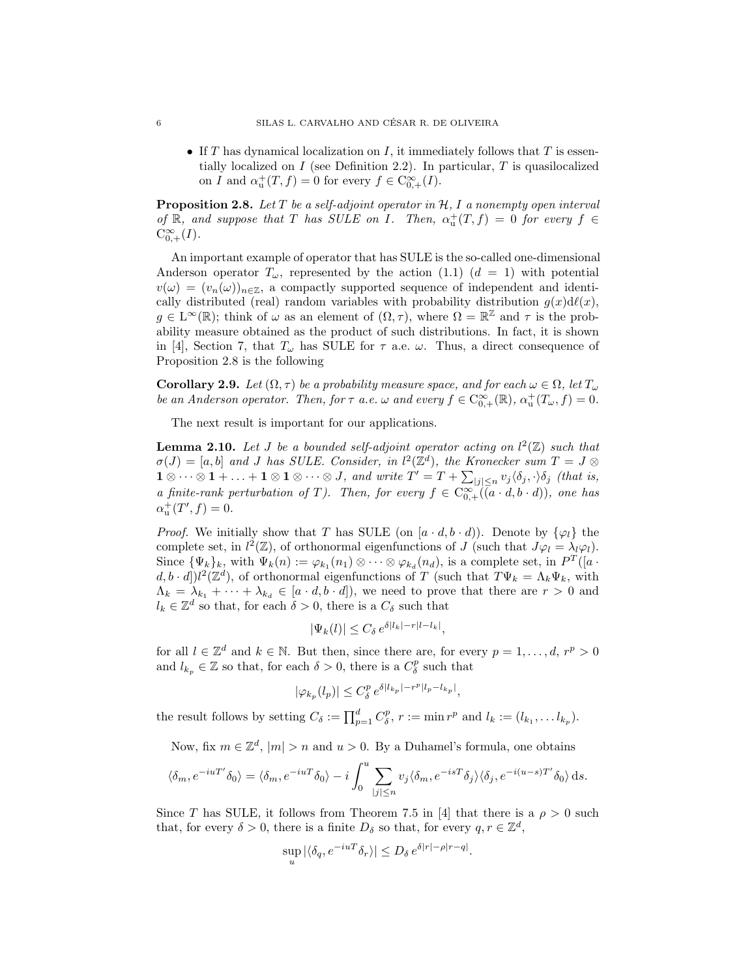• If T has dynamical localization on I, it immediately follows that T is essentially localized on  $I$  (see Definition 2.2). In particular,  $T$  is quasilocalized on I and  $\alpha_{\mathrm{u}}^{+}(T,f) = 0$  for every  $f \in \mathrm{C}_{0,+}^{\infty}(I)$ .

**Proposition 2.8.** Let T be a self-adjoint operator in  $H$ , I a nonempty open interval of  $\mathbb R$ , and suppose that T has SULE on I. Then,  $\alpha^+_{\mathrm{u}}(T,f) = 0$  for every  $f \in$  $C_{0,+}^{\infty}(I).$ 

An important example of operator that has SULE is the so-called one-dimensional Anderson operator  $T_{\omega}$ , represented by the action (1.1)  $(d = 1)$  with potential  $v(\omega) = (v_n(\omega))_{n \in \mathbb{Z}}$ , a compactly supported sequence of independent and identically distributed (real) random variables with probability distribution  $g(x)d\ell(x)$ ,  $g \in L^{\infty}(\mathbb{R})$ ; think of  $\omega$  as an element of  $(\Omega, \tau)$ , where  $\Omega = \mathbb{R}^{\mathbb{Z}}$  and  $\tau$  is the probability measure obtained as the product of such distributions. In fact, it is shown in [4], Section 7, that  $T_{\omega}$  has SULE for  $\tau$  a.e.  $\omega$ . Thus, a direct consequence of Proposition 2.8 is the following

**Corollary 2.9.** Let  $(\Omega, \tau)$  be a probability measure space, and for each  $\omega \in \Omega$ , let  $T_{\omega}$ be an Anderson operator. Then, for  $\tau$  a.e.  $\omega$  and every  $f \in C^{\infty}_{0,+}(\mathbb{R})$ ,  $\alpha^+_{\mathfrak{u}}(T_{\omega}, f) = 0$ .

The next result is important for our applications.

**Lemma 2.10.** Let J be a bounded self-adjoint operator acting on  $l^2(\mathbb{Z})$  such that  $\sigma(J) = [a, b]$  and J has SULE. Consider, in  $l^2(\mathbb{Z}^d)$ , the Kronecker sum  $T = J \otimes$  $1 \otimes \cdots \otimes 1 + \ldots + 1 \otimes 1 \otimes \cdots \otimes J$ , and write  $T' = T + \sum_{|j| \leq n} v_j \langle \delta_j, \cdot \rangle \delta_j$  (that is, a finite-rank perturbation of T). Then, for every  $f \in C_{0,+}^{\infty}((a \cdot d, b \cdot d))$ , one has  $\alpha_{\rm u}^{+}(T', f) = 0.$ 

*Proof.* We initially show that T has SULE (on  $[a \cdot d, b \cdot d]$ ). Denote by  $\{\varphi_l\}$  the complete set, in  $l^2(\mathbb{Z})$ , of orthonormal eigenfunctions of J (such that  $J\varphi_l = \lambda_l\varphi_l$ ). Since  $\{\Psi_k\}_k$ , with  $\Psi_k(n) := \varphi_{k_1}(n_1) \otimes \cdots \otimes \varphi_{k_d}(n_d)$ , is a complete set, in  $P^T([a \cdot \Psi_k])$  $(d, b \cdot d])l^2(\mathbb{Z}^d)$ , of orthonormal eigenfunctions of T (such that  $T\Psi_k = \Lambda_k \Psi_k$ , with  $\Lambda_k = \lambda_{k_1} + \cdots + \lambda_{k_d} \in [a \cdot d, b \cdot d]$ , we need to prove that there are  $r > 0$  and  $l_k \in \mathbb{Z}^d$  so that, for each  $\delta > 0$ , there is a  $C_{\delta}$  such that

$$
|\Psi_k(l)| \le C_\delta \, e^{\delta|l_k| - r|l - l_k|},
$$

for all  $l \in \mathbb{Z}^d$  and  $k \in \mathbb{N}$ . But then, since there are, for every  $p = 1, \ldots, d, r^p > 0$ and  $l_{k_p} \in \mathbb{Z}$  so that, for each  $\delta > 0$ , there is a  $C_{\delta}^p$  such that

$$
|\varphi_{k_p}(l_p)|\leq C_\delta^p\,e^{\delta|l_{k_p}|-r^p|l_p-l_{k_p}|},
$$

the result follows by setting  $C_{\delta} := \prod_{p=1}^{d} C_{\delta}^{p}$ ,  $r := \min r^{p}$  and  $l_{k} := (l_{k_{1}}, \ldots l_{k_{p}})$ .

Now, fix  $m \in \mathbb{Z}^d$ ,  $|m| > n$  and  $u > 0$ . By a Duhamel's formula, one obtains

$$
\langle \delta_m, e^{-iuT'} \delta_0 \rangle = \langle \delta_m, e^{-iuT} \delta_0 \rangle - i \int_0^u \sum_{|j| \le n} v_j \langle \delta_m, e^{-isT} \delta_j \rangle \langle \delta_j, e^{-i(u-s)T'} \delta_0 \rangle \, ds.
$$

Since T has SULE, it follows from Theorem 7.5 in [4] that there is a  $\rho > 0$  such that, for every  $\delta > 0$ , there is a finite  $D_{\delta}$  so that, for every  $q, r \in \mathbb{Z}^d$ ,

$$
\sup_{u} |\langle \delta_q, e^{-iuT} \delta_r \rangle| \leq D_\delta e^{\delta |r| - \rho |r - q|}
$$

.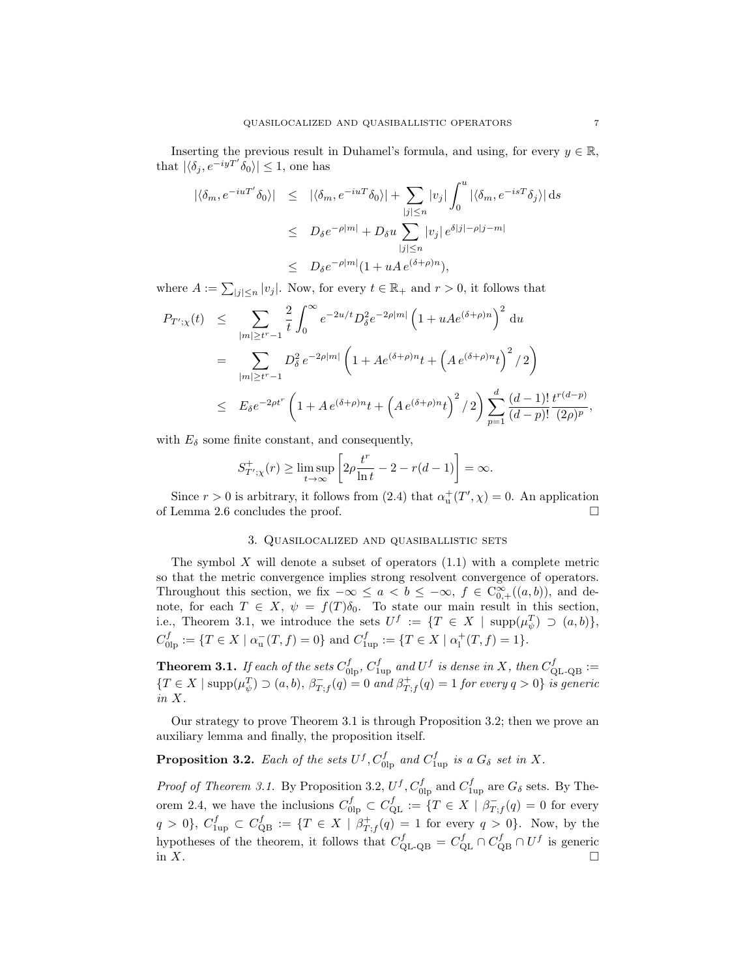Inserting the previous result in Duhamel's formula, and using, for every  $y \in \mathbb{R}$ , that  $|\langle \delta_j, e^{-iyT'} \delta_0 \rangle| \leq 1$ , one has

$$
\begin{array}{rcl} |\langle \delta_m, e^{-iuT'} \delta_0 \rangle| & \leq & |\langle \delta_m, e^{-iuT} \delta_0 \rangle| + \sum_{|j| \leq n} |v_j| \int_0^u |\langle \delta_m, e^{-isT} \delta_j \rangle| \, \mathrm{d}s \\ & \leq & D_\delta e^{-\rho|m|} + D_\delta u \sum_{|j| \leq n} |v_j| \, e^{\delta|j| - \rho|j - m|} \\ & \leq & D_\delta e^{-\rho|m|} (1 + uA \, e^{(\delta + \rho)n}), \end{array}
$$

where  $A := \sum_{|j| \leq n} |v_j|$ . Now, for every  $t \in \mathbb{R}_+$  and  $r > 0$ , it follows that

$$
P_{T';\chi}(t) \leq \sum_{|m| \geq t^r - 1} \frac{2}{t} \int_0^{\infty} e^{-2u/t} D_{\delta}^2 e^{-2\rho |m|} \left( 1 + u A e^{(\delta + \rho)n} \right)^2 du
$$
  
\n
$$
= \sum_{|m| \geq t^r - 1} D_{\delta}^2 e^{-2\rho |m|} \left( 1 + A e^{(\delta + \rho)n} t + \left( A e^{(\delta + \rho)n} t \right)^2 / 2 \right)
$$
  
\n
$$
\leq E_{\delta} e^{-2\rho t^r} \left( 1 + A e^{(\delta + \rho)n} t + \left( A e^{(\delta + \rho)n} t \right)^2 / 2 \right) \sum_{p=1}^d \frac{(d-1)!}{(d-p)!} \frac{t^{r(d-p)}}{(2\rho)^p}
$$

with  $E_{\delta}$  some finite constant, and consequently,

$$
S_{T';\chi}^+(r) \ge \limsup_{t \to \infty} \left[ 2\rho \frac{t^r}{\ln t} - 2 - r(d-1) \right] = \infty.
$$

Since  $r > 0$  is arbitrary, it follows from (2.4) that  $\alpha_{\rm u}^{+}(T', \chi) = 0$ . An application of Lemma 2.6 concludes the proof.

### 3. Quasilocalized and quasiballistic sets

The symbol  $X$  will denote a subset of operators  $(1.1)$  with a complete metric so that the metric convergence implies strong resolvent convergence of operators. Throughout this section, we fix  $-\infty \le a < b \le -\infty$ ,  $f \in C_{0,+}^{\infty}((a,b))$ , and denote, for each  $T \in X$ ,  $\psi = f(T)\delta_0$ . To state our main result in this section, i.e., Theorem 3.1, we introduce the sets  $U^f := \{T \in X \mid \text{supp}(\mu_{\psi}^T) \supset (a, b)\},\$  $C_{\text{olp}}^f := \{ T \in X \mid \alpha_u^-(T, f) = 0 \}$  and  $C_{\text{1up}}^f := \{ T \in X \mid \alpha_l^+(T, f) = 1 \}.$ 

**Theorem 3.1.** If each of the sets  $C_{\text{0lp}}^f$ ,  $C_{\text{1up}}^f$  and  $U^f$  is dense in X, then  $C_{\text{QL-QB}}^f :=$  $\{T \in X \mid \text{supp}(\mu^T_{\psi}) \supset (a, b), \ \beta^-_{T, f}(q) = 0 \ and \ \beta^+_{T, f}(q) = 1 \ for \ every \ q > 0 \} \ is \ generic$ in X.

Our strategy to prove Theorem 3.1 is through Proposition 3.2; then we prove an auxiliary lemma and finally, the proposition itself.

# **Proposition 3.2.** Each of the sets  $U^f$ ,  $C_{\text{0lp}}^f$  and  $C_{\text{1up}}^f$  is a  $G_{\delta}$  set in X.

*Proof of Theorem 3.1.* By Proposition 3.2,  $U^f$ ,  $C_{\text{olp}}^f$  and  $C_{\text{1up}}^f$  are  $G_\delta$  sets. By Theorem 2.4, we have the inclusions  $C_{\text{olp}}^f \subset C_{\text{QL}}^f := \{T \in X \mid \beta_{T,f}^-(q) = 0 \text{ for every }$  $q > 0$ ,  $C_{1_{\text{up}}}^f \subset C_{\text{QB}}^f := \{ T \in X \mid \beta_{T,f}^+(q) = 1 \text{ for every } q > 0 \}.$  Now, by the hypotheses of the theorem, it follows that  $C_{\text{QL-QB}}^f = C_{\text{QL}}^f \cap C_{\text{QB}}^f \cap U^f$  is generic in X.  $\square$ 

,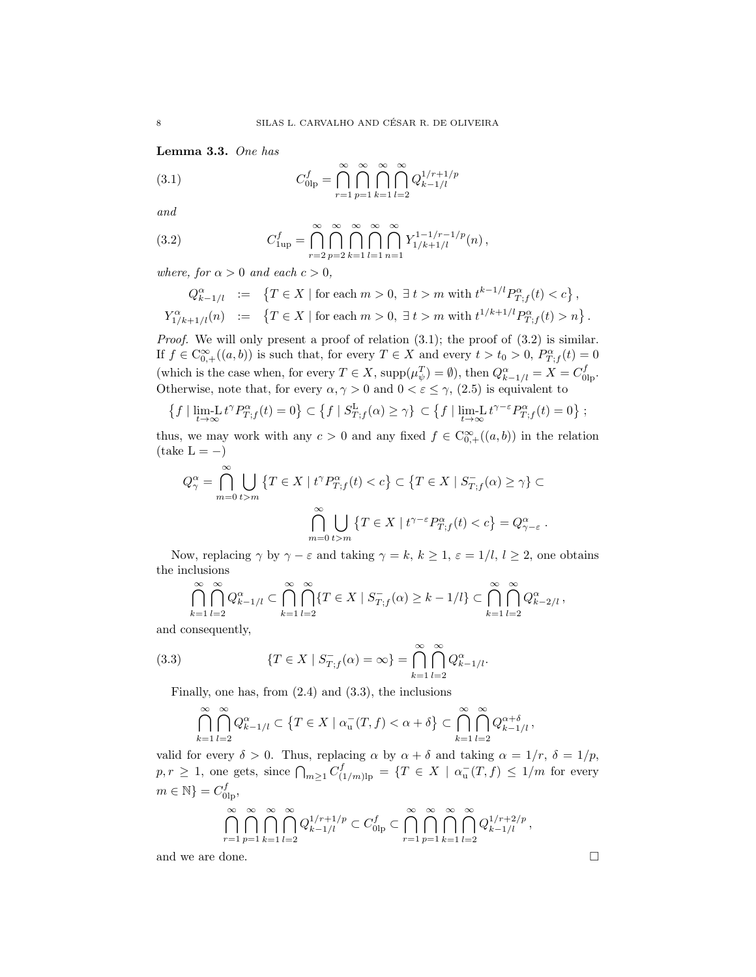Lemma 3.3. One has

(3.1) 
$$
C_{0\text{lp}}^{f} = \bigcap_{r=1}^{\infty} \bigcap_{p=1}^{\infty} \bigcap_{k=1}^{\infty} \bigcap_{l=2}^{\infty} Q_{k-1/l}^{1/r+1/p}
$$

and

(3.2) 
$$
C_{1\text{up}}^f = \bigcap_{r=2}^{\infty} \bigcap_{p=2}^{\infty} \bigcap_{k=1}^{\infty} \bigcap_{l=1}^{\infty} \bigcap_{n=1}^{\infty} Y_{1/k+1/l}^{1-1/r-1/p}(n),
$$

where, for  $\alpha > 0$  and each  $c > 0$ ,

$$
Q_{k-1/l}^{\alpha} := \left\{ T \in X \mid \text{for each } m > 0, \exists t > m \text{ with } t^{k-1/l} P_{T;f}^{\alpha}(t) < c \right\},
$$
  

$$
Y_{1/k+1/l}^{\alpha}(n) := \left\{ T \in X \mid \text{for each } m > 0, \exists t > m \text{ with } t^{1/k+1/l} P_{T;f}^{\alpha}(t) > n \right\}.
$$

Proof. We will only present a proof of relation (3.1); the proof of (3.2) is similar. If  $f \in \mathrm{C}_{0,+}^{\infty}((a,b))$  is such that, for every  $T \in X$  and every  $t > t_0 > 0$ ,  $P_{T,f}^{\alpha}(t) = 0$ (which is the case when, for every  $T \in X$ ,  $\text{supp}(\mu_{\psi}^T) = \emptyset$ ), then  $Q_{k-1/l}^{\alpha} = X = C_{0lp}^f$ . Otherwise, note that, for every  $\alpha, \gamma > 0$  and  $0 < \varepsilon \leq \gamma$ ,  $(2.5)$  is equivalent to

$$
\left\{f \mid \lim_{t \to \infty} L t^{\gamma} P_{T;f}^{\alpha}(t) = 0\right\} \subset \left\{f \mid S_{T;f}^{\mathcal{L}}(\alpha) \geq \gamma\right\} \subset \left\{f \mid \lim_{t \to \infty} L t^{\gamma - \varepsilon} P_{T;f}^{\alpha}(t) = 0\right\};
$$

thus, we may work with any  $c > 0$  and any fixed  $f \in C^{\infty}_{0,+}((a, b))$  in the relation  $(\text{take } L = -)$ 

$$
Q_{\gamma}^{\alpha} = \bigcap_{m=0}^{\infty} \bigcup_{t>m} \{ T \in X \mid t^{\gamma} P_{T;f}^{\alpha}(t) < c \} \subset \{ T \in X \mid S_{T;f}^{-}(\alpha) \geq \gamma \} \subset
$$
\n
$$
\bigcap_{m=0}^{\infty} \bigcup_{t>m} \{ T \in X \mid t^{\gamma-\varepsilon} P_{T;f}^{\alpha}(t) < c \} = Q_{\gamma-\varepsilon}^{\alpha} \; .
$$

Now, replacing  $\gamma$  by  $\gamma - \varepsilon$  and taking  $\gamma = k, k \ge 1, \varepsilon = 1/l, l \ge 2$ , one obtains the inclusions

$$
\bigcap_{k=1}^{\infty} \bigcap_{l=2}^{\infty} Q_{k-1/l}^{\alpha} \subset \bigcap_{k=1}^{\infty} \bigcap_{l=2}^{\infty} \{T \in X \mid S_{T,f}^{-}(\alpha) \ge k-1/l\} \subset \bigcap_{k=1}^{\infty} \bigcap_{l=2}^{\infty} Q_{k-2/l}^{\alpha},
$$

and consequently,

(3.3) 
$$
\{T \in X \mid S_{T,f}^{-}(\alpha) = \infty\} = \bigcap_{k=1}^{\infty} \bigcap_{l=2}^{\infty} Q_{k-1/l}^{\alpha}.
$$

Finally, one has, from (2.4) and (3.3), the inclusions

$$
\bigcap_{k=1}^{\infty} \bigcap_{l=2}^{\infty} Q_{k-1/l}^{\alpha} \subset \left\{T \in X \mid \alpha_u^-(T,f) < \alpha + \delta \right\} \subset \bigcap_{k=1}^{\infty} \bigcap_{l=2}^{\infty} Q_{k-1/l}^{\alpha+\delta},
$$

valid for every  $\delta > 0$ . Thus, replacing  $\alpha$  by  $\alpha + \delta$  and taking  $\alpha = 1/r$ ,  $\delta = 1/p$ ,  $p, r \geq 1$ , one gets, since  $\bigcap_{m \geq 1} C^f_{(1/m)lp} = \{T \in X \mid \alpha_u^{-}(T, f) \leq 1/m \text{ for every }$  $m \in \mathbb{N}$  =  $C_{0\text{lp}}^f$ ,

$$
\bigcap_{r=1}^{\infty} \bigcap_{p=1}^{\infty} \bigcap_{k=1}^{\infty} \bigcap_{l=2}^{\infty} Q_{k-1/l}^{1/r+1/p} \subset C_{0\mathrm{lp}}^f \subset \bigcap_{r=1}^{\infty} \bigcap_{p=1}^{\infty} \bigcap_{k=1}^{\infty} \bigcap_{l=2}^{\infty} Q_{k-1/l}^{1/r+2/p},
$$

and we are done.  $\Box$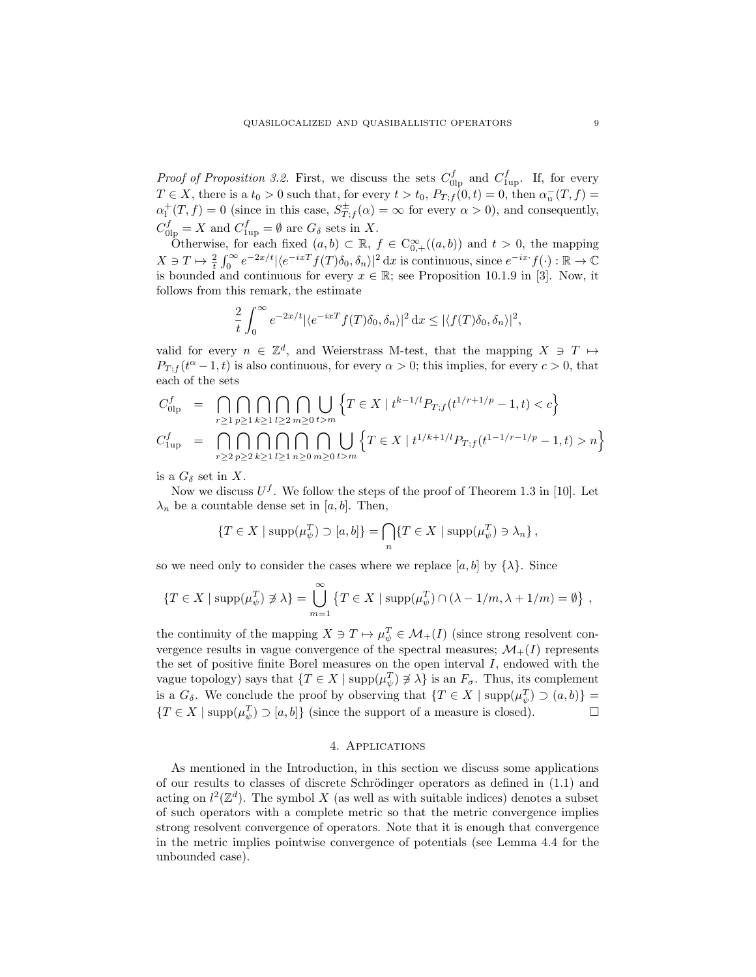*Proof of Proposition 3.2.* First, we discuss the sets  $C_{\text{olp}}^f$  and  $C_{\text{1up}}^f$ . If, for every  $T \in X$ , there is a  $t_0 > 0$  such that, for every  $t > t_0$ ,  $P_{T,f}(0,t) = 0$ , then  $\alpha_{\mathrm{u}}(T,f) =$  $\alpha_1^+(T, f) = 0$  (since in this case,  $S_{T, f}^{\pm}(\alpha) = \infty$  for every  $\alpha > 0$ ), and consequently,  $C_{0\text{lp}}^f = X$  and  $C_{1\text{up}}^f = \emptyset$  are  $G_{\delta}$  sets in X.

Otherwise, for each fixed  $(a, b) \subset \mathbb{R}$ ,  $f \in C^{\infty}_{0,+}((a, b))$  and  $t > 0$ , the mapping  $X \ni T \mapsto \frac{2}{t} \int_0^\infty e^{-2x/t} |\langle e^{-ixT} f(T) \delta_0, \delta_n \rangle|^2 dx$  is continuous, since  $e^{-ix} f(\cdot) : \mathbb{R} \to \mathbb{C}$ is bounded and continuous for every  $x \in \mathbb{R}$ ; see Proposition 10.1.9 in [3]. Now, it follows from this remark, the estimate

$$
\frac{2}{t} \int_0^\infty e^{-2x/t} |\langle e^{-ixT} f(T) \delta_0, \delta_n \rangle|^2 dx \le |\langle f(T) \delta_0, \delta_n \rangle|^2,
$$

valid for every  $n \in \mathbb{Z}^d$ , and Weierstrass M-test, that the mapping  $X \ni T \mapsto$  $P_{T,f}(t^{\alpha}-1,t)$  is also continuous, for every  $\alpha>0$ ; this implies, for every  $c>0$ , that each of the sets

$$
C_{01p}^f = \bigcap_{r \ge 1} \bigcap_{p \ge 1} \bigcap_{k \ge 1} \bigcap_{l \ge 2} \bigcap_{m \ge 0} \bigcup_{t > m} \left\{ T \in X \mid t^{k-1/l} P_{T;f}(t^{1/r+1/p} - 1, t) < c \right\}
$$
\n
$$
C_{1\text{up}}^f = \bigcap_{r \ge 2} \bigcap_{p \ge 2} \bigcap_{k \ge 1} \bigcap_{l \ge 1} \bigcap_{n \ge 0} \bigcap_{m \ge 0} \bigcup_{t > m} \left\{ T \in X \mid t^{1/k+1/l} P_{T;f}(t^{1-1/r-1/p} - 1, t) > n \right\}
$$

is a  $G_{\delta}$  set in X.

Now we discuss  $U^f$ . We follow the steps of the proof of Theorem 1.3 in [10]. Let  $\lambda_n$  be a countable dense set in [a, b]. Then,

$$
\{T \in X \mid \mathrm{supp}(\mu_{\psi}^T) \supset [a, b]\} = \bigcap_{n} \{T \in X \mid \mathrm{supp}(\mu_{\psi}^T) \ni \lambda_n\},\
$$

so we need only to consider the cases where we replace [a, b] by  $\{\lambda\}$ . Since

$$
\{T \in X \mid \text{supp}(\mu_{\psi}^T) \not\ni \lambda\} = \bigcup_{m=1}^{\infty} \{T \in X \mid \text{supp}(\mu_{\psi}^T) \cap (\lambda - 1/m, \lambda + 1/m) = \emptyset\},
$$

the continuity of the mapping  $X \ni T \mapsto \mu_{\psi}^T \in \mathcal{M}_+(I)$  (since strong resolvent convergence results in vague convergence of the spectral measures;  $\mathcal{M}_{+}(I)$  represents the set of positive finite Borel measures on the open interval  $I$ , endowed with the vague topology) says that  $\{T \in X \mid \text{supp}(\mu_{\psi}^T) \not\ni \lambda\}$  is an  $F_{\sigma}$ . Thus, its complement is a  $G_{\delta}$ . We conclude the proof by observing that  $\{T \in X \mid \text{supp}(\mu_{\psi}^T) \supset (a, b)\}$  ${T \in X \mid \text{supp}(\mu_{\psi}^{T}) \supset [a, b]}$  (since the support of a measure is closed).

## 4. Applications

As mentioned in the Introduction, in this section we discuss some applications of our results to classes of discrete Schrödinger operators as defined in  $(1.1)$  and acting on  $l^2(\mathbb{Z}^d)$ . The symbol X (as well as with suitable indices) denotes a subset of such operators with a complete metric so that the metric convergence implies strong resolvent convergence of operators. Note that it is enough that convergence in the metric implies pointwise convergence of potentials (see Lemma 4.4 for the unbounded case).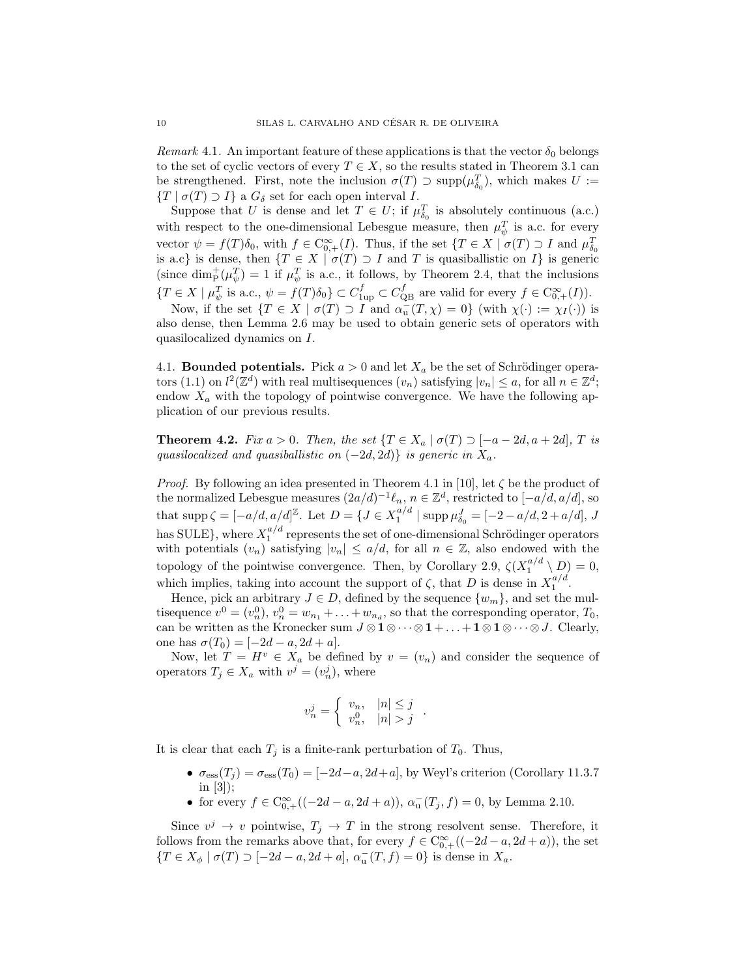Remark 4.1. An important feature of these applications is that the vector  $\delta_0$  belongs to the set of cyclic vectors of every  $T \in X$ , so the results stated in Theorem 3.1 can be strengthened. First, note the inclusion  $\sigma(T) \supset \text{supp}(\mu_{\delta_0}^T)$ , which makes  $U :=$  $\{T \mid \sigma(T) \supset I\}$  a  $G_{\delta}$  set for each open interval I.

Suppose that U is dense and let  $T \in U$ ; if  $\mu_{\delta_0}^T$  is absolutely continuous (a.c.) with respect to the one-dimensional Lebesgue measure, then  $\mu_{\psi}^{T}$  is a.c. for every vector  $\psi = f(T)\delta_0$ , with  $f \in \mathcal{C}_{0,+}^{\infty}(I)$ . Thus, if the set  $\{T \in X \mid \sigma(T) \supset I \text{ and } \mu_{\delta_0}^T\}$ is a.c} is dense, then  $\{T \in X \mid \sigma(T) \supset I \text{ and } T \text{ is quasibalistic on } I\}$  is generic (since  $\dim_{\mathcal{P}}^+(\mu^T_{\psi}) = 1$  if  $\mu^T_{\psi}$  is a.c., it follows, by Theorem 2.4, that the inclusions  $\{T \in X \mid \mu_{\psi}^T \text{ is a.c., } \psi = f(T)\delta_0\} \subset C_{1\text{up}}^f \subset C_{\text{QB}}^f \text{ are valid for every } f \in C_{0,+}^{\infty}(I)).$ 

Now, if the set  $\{T \in X \mid \sigma(T) \supset I \text{ and } \alpha_{\mathbf{u}}(T, \chi) = 0\}$  (with  $\chi(\cdot) := \chi_I(\cdot)$ ) is also dense, then Lemma 2.6 may be used to obtain generic sets of operators with quasilocalized dynamics on I.

4.1. **Bounded potentials.** Pick  $a > 0$  and let  $X_a$  be the set of Schrödinger operators (1.1) on  $l^2(\mathbb{Z}^d)$  with real multisequences  $(v_n)$  satisfying  $|v_n| \leq a$ , for all  $n \in \mathbb{Z}^d$ ; endow  $X_a$  with the topology of pointwise convergence. We have the following application of our previous results.

**Theorem 4.2.** Fix  $a > 0$ . Then, the set  $\{T \in X_a \mid \sigma(T) \supset [-a-2d, a+2d], T \text{ is }$ quasilocalized and quasiballistic on  $(-2d, 2d)$  is generic in  $X_a$ .

*Proof.* By following an idea presented in Theorem 4.1 in [10], let  $\zeta$  be the product of the normalized Lebesgue measures  $(2a/d)^{-1}\ell_n$ ,  $n \in \mathbb{Z}^d$ , restricted to  $[-a/d, a/d]$ , so that  $\text{supp}\,\zeta = [-a/d, a/d]^{\mathbb{Z}}$ . Let  $D = \{J \in X_1^{a/d} \mid \text{supp}\,\mu_{\delta_0}^J = [-2 - a/d, 2 + a/d], J$ has SULE}, where  $X_1^{a/d}$  represents the set of one-dimensional Schrödinger operators with potentials  $(v_n)$  satisfying  $|v_n| \leq a/d$ , for all  $n \in \mathbb{Z}$ , also endowed with the topology of the pointwise convergence. Then, by Corollary 2.9,  $\zeta(X_1^{a/d} \setminus D) = 0$ , which implies, taking into account the support of  $\zeta$ , that D is dense in  $X_1^{a/d}$ .

Hence, pick an arbitrary  $J \in D$ , defined by the sequence  $\{w_m\}$ , and set the multisequence  $v^0 = (v_n^0), v_n^0 = w_{n_1} + \ldots + w_{n_d}$ , so that the corresponding operator,  $T_0$ , can be written as the Kronecker sum  $J \otimes 1 \otimes \cdots \otimes 1 + \ldots + 1 \otimes 1 \otimes \cdots \otimes J$ . Clearly, one has  $\sigma(T_0) = [-2d - a, 2d + a]$ .

Now, let  $T = H^v \in X_a$  be defined by  $v = (v_n)$  and consider the sequence of operators  $T_j \in X_a$  with  $v^j = (v_n^j)$ , where

$$
v_n^j = \begin{cases} v_n, & |n| \le j \\ v_n^0, & |n| > j \end{cases}.
$$

It is clear that each  $T_i$  is a finite-rank perturbation of  $T_0$ . Thus,

- $\sigma_{\text{ess}}(T_j) = \sigma_{\text{ess}}(T_0) = [-2d-a, 2d+a]$ , by Weyl's criterion (Corollary 11.3.7) in [3]);
- for every  $f \in C^{\infty}_{0,+}((-2d-a, 2d+a)), \alpha^{-}_{\mathbf{u}}(T_j, f) = 0$ , by Lemma 2.10.

Since  $v^j \to v$  pointwise,  $T_j \to T$  in the strong resolvent sense. Therefore, it follows from the remarks above that, for every  $f \in C_{0,+}^{\infty}((-2d-a, 2d+a))$ , the set  ${T \in X_{\phi} \mid \sigma(T) \supset [-2d - a, 2d + a], \alpha_u^{-}(T, f) = 0}$  is dense in  $X_a$ .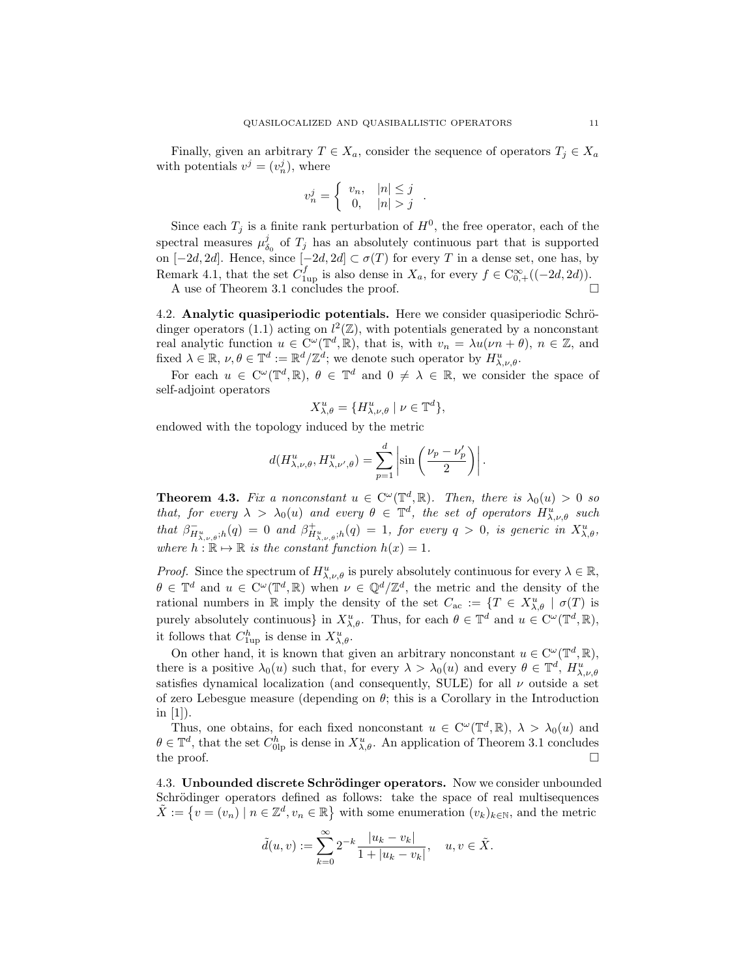Finally, given an arbitrary  $T \in X_a$ , consider the sequence of operators  $T_j \in X_a$ with potentials  $v^j = (v_n^j)$ , where

$$
v_n^j = \begin{cases} v_n, & |n| \le j \\ 0, & |n| > j \end{cases}.
$$

Since each  $T_j$  is a finite rank perturbation of  $H^0$ , the free operator, each of the spectral measures  $\mu_{\delta_0}^j$  of  $T_j$  has an absolutely continuous part that is supported on  $[-2d, 2d]$ . Hence, since  $[-2d, 2d] \subset \sigma(T)$  for every T in a dense set, one has, by Remark 4.1, that the set  $C_{1up}^f$  is also dense in  $X_a$ , for every  $f \in C_{0,+}^{\infty}((-2d,2d)).$ 

A use of Theorem 3.1 concludes the proof.

4.2. Analytic quasiperiodic potentials. Here we consider quasiperiodic Schrödinger operators (1.1) acting on  $l^2(\mathbb{Z})$ , with potentials generated by a nonconstant real analytic function  $u \in C^{\omega}(\mathbb{T}^d, \mathbb{R})$ , that is, with  $v_n = \lambda u(\nu n + \theta)$ ,  $n \in \mathbb{Z}$ , and fixed  $\lambda \in \mathbb{R}, \nu, \theta \in \mathbb{T}^d := \mathbb{R}^d / \mathbb{Z}^d$ ; we denote such operator by  $H^u_{\lambda,\nu,\theta}$ .

For each  $u \in C^{\omega}(\mathbb{T}^d, \mathbb{R}), \theta \in \mathbb{T}^d$  and  $0 \neq \lambda \in \mathbb{R}$ , we consider the space of self-adjoint operators

$$
X_{\lambda,\theta}^u = \{H_{\lambda,\nu,\theta}^u \mid \nu \in \mathbb{T}^d\},\
$$

endowed with the topology induced by the metric

$$
d(H_{\lambda,\nu,\theta}^u, H_{\lambda,\nu',\theta}^u) = \sum_{p=1}^d \left| \sin\left(\frac{\nu_p - \nu'_p}{2}\right) \right|.
$$

**Theorem 4.3.** Fix a nonconstant  $u \in C^{\omega}(\mathbb{T}^d, \mathbb{R})$ . Then, there is  $\lambda_0(u) > 0$  so that, for every  $\lambda > \lambda_0(u)$  and every  $\theta \in \mathbb{T}^d$ , the set of operators  $H^u_{\lambda,\nu,\theta}$  such that  $\beta_{H_{\lambda,\nu,\theta}^u,h}^-(q) = 0$  and  $\beta_{H_{\lambda,\nu,\theta}^u,h}^+(q) = 1$ , for every  $q > 0$ , is generic in  $X_{\lambda,\theta}^u$ , where  $h : \mathbb{R} \to \mathbb{R}$  is the constant function  $h(x) = 1$ .

*Proof.* Since the spectrum of  $H^u_{\lambda,\nu,\theta}$  is purely absolutely continuous for every  $\lambda \in \mathbb{R}$ ,  $\theta \in \mathbb{T}^d$  and  $u \in C^{\omega}(\mathbb{T}^d, \mathbb{R})$  when  $\nu \in \mathbb{Q}^d/\mathbb{Z}^d$ , the metric and the density of the rational numbers in R imply the density of the set  $C_{ac} := \{T \in X_{\lambda,\theta}^u \mid \sigma(T) \text{ is }$ purely absolutely continuous} in  $X_{\lambda,\theta}^u$ . Thus, for each  $\theta \in \mathbb{T}^d$  and  $u \in C^{\omega}(\mathbb{T}^d,\mathbb{R}),$ it follows that  $C_{1\text{up}}^h$  is dense in  $X_{\lambda,\theta}^u$ .

On other hand, it is known that given an arbitrary nonconstant  $u \in C^{\omega}(\mathbb{T}^d, \mathbb{R}),$ there is a positive  $\lambda_0(u)$  such that, for every  $\lambda > \lambda_0(u)$  and every  $\theta \in \mathbb{T}^d$ ,  $H_{\lambda,\nu,\theta}^u$ satisfies dynamical localization (and consequently, SULE) for all  $\nu$  outside a set of zero Lebesgue measure (depending on  $\theta$ ; this is a Corollary in the Introduction in  $[1]$ ).

Thus, one obtains, for each fixed nonconstant  $u \in C^{\omega}(\mathbb{T}^d, \mathbb{R}), \lambda > \lambda_0(u)$  and  $\theta \in \mathbb{T}^d$ , that the set  $C_{0\text{lp}}^h$  is dense in  $X_{\lambda,\theta}^u$ . An application of Theorem 3.1 concludes the proof.  $\square$ 

4.3. Unbounded discrete Schrödinger operators. Now we consider unbounded Schrödinger operators defined as follows: take the space of real multisequences  $\tilde{X} := \{v = (v_n) \mid n \in \mathbb{Z}^d, v_n \in \mathbb{R}\}\$  with some enumeration  $(v_k)_{k \in \mathbb{N}}$ , and the metric

$$
\tilde d(u,v):=\sum_{k=0}^\infty 2^{-k}\frac{|u_k-v_k|}{1+|u_k-v_k|},\quad u,v\in\tilde X.
$$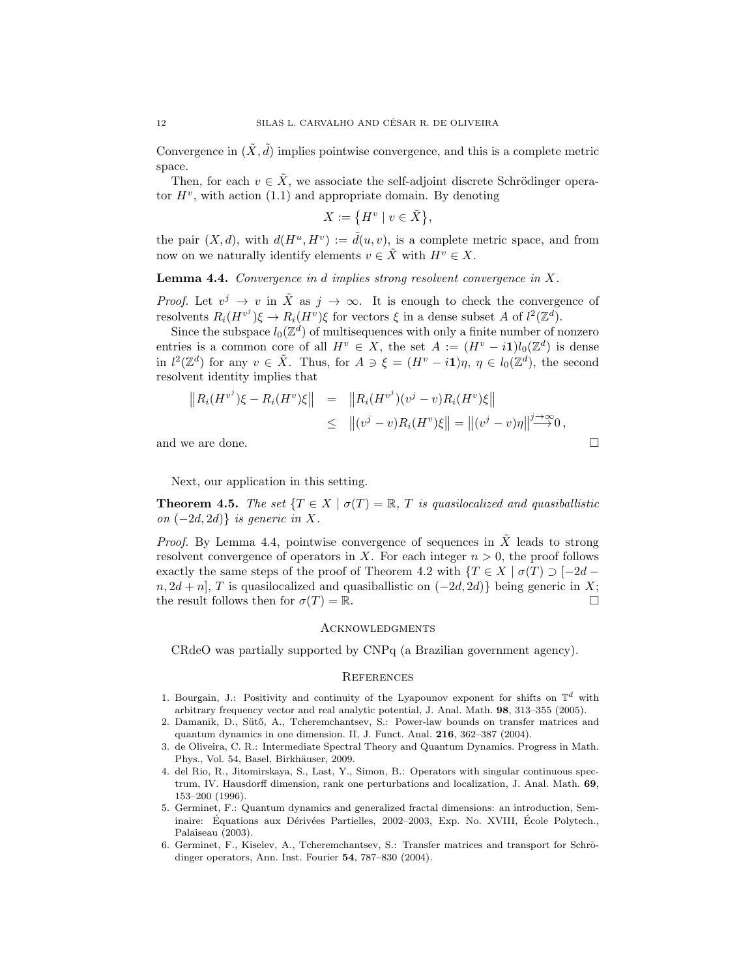Convergence in  $(\tilde{X}, \tilde{d})$  implies pointwise convergence, and this is a complete metric space.

Then, for each  $v \in \tilde{X}$ , we associate the self-adjoint discrete Schrödinger operator  $H^v$ , with action (1.1) and appropriate domain. By denoting

$$
X := \left\{ H^v \mid v \in \tilde{X} \right\},\
$$

the pair  $(X, d)$ , with  $d(H^u, H^v) := \tilde{d}(u, v)$ , is a complete metric space, and from now on we naturally identify elements  $v \in \tilde{X}$  with  $H^v \in X$ .

**Lemma 4.4.** Convergence in  $d$  implies strong resolvent convergence in  $X$ .

*Proof.* Let  $v^j \to v$  in  $\tilde{X}$  as  $j \to \infty$ . It is enough to check the convergence of resolvents  $R_i(H^{v^j})\xi \to R_i(H^v)\xi$  for vectors  $\xi$  in a dense subset A of  $l^2(\mathbb{Z}^d)$ .

Since the subspace  $l_0(\mathbb{Z}^d)$  of multisequences with only a finite number of nonzero entries is a common core of all  $H^v \in X$ , the set  $A := (H^v - i1)l_0(\mathbb{Z}^d)$  is dense in  $l^2(\mathbb{Z}^d)$  for any  $v \in \tilde{X}$ . Thus, for  $A \ni \xi = (H^v - i\mathbf{1})\eta$ ,  $\eta \in l_0(\mathbb{Z}^d)$ , the second resolvent identity implies that

$$
||R_i(H^{v^j})\xi - R_i(H^v)\xi|| = ||R_i(H^{v^j})(v^j - v)R_i(H^v)\xi||
$$
  
\n
$$
\leq ||(v^j - v)R_i(H^v)\xi|| = ||(v^j - v)\eta|| \stackrel{j \to \infty}{\longrightarrow} 0,
$$
  
\nand we are done.

Next, our application in this setting.

**Theorem 4.5.** The set  $\{T \in X \mid \sigma(T) = \mathbb{R}, T \text{ is quasilocalized and quasibalistic }\}$ on  $(-2d, 2d)$ } is generic in X.

*Proof.* By Lemma 4.4, pointwise convergence of sequences in  $\tilde{X}$  leads to strong resolvent convergence of operators in X. For each integer  $n > 0$ , the proof follows exactly the same steps of the proof of Theorem 4.2 with  $\{T \in X \mid \sigma(T) \supset [-2d$  $n, 2d + n$ , T is quasilocalized and quasiballistic on  $(-2d, 2d)$  being generic in X; the result follows then for  $\sigma(T) = \mathbb{R}$ .

#### **ACKNOWLEDGMENTS**

CRdeO was partially supported by CNPq (a Brazilian government agency).

### **REFERENCES**

- 1. Bourgain, J.: Positivity and continuity of the Lyapounov exponent for shifts on  $\mathbb{T}^d$  with arbitrary frequency vector and real analytic potential, J. Anal. Math. 98, 313–355 (2005).
- 2. Damanik, D., Sütő, A., Tcheremchantsev, S.: Power-law bounds on transfer matrices and quantum dynamics in one dimension. II, J. Funct. Anal. 216, 362–387 (2004).
- 3. de Oliveira, C. R.: Intermediate Spectral Theory and Quantum Dynamics. Progress in Math. Phys., Vol. 54, Basel, Birkhäuser, 2009.
- 4. del Rio, R., Jitomirskaya, S., Last, Y., Simon, B.: Operators with singular continuous spectrum, IV. Hausdorff dimension, rank one perturbations and localization, J. Anal. Math. 69, 153–200 (1996).
- 5. Germinet, F.: Quantum dynamics and generalized fractal dimensions: an introduction, Seminaire: Équations aux Dérivées Partielles, 2002–2003, Exp. No. XVIII, École Polytech., Palaiseau (2003).
- 6. Germinet, F., Kiselev, A., Tcheremchantsev, S.: Transfer matrices and transport for Schrödinger operators, Ann. Inst. Fourier 54, 787–830 (2004).